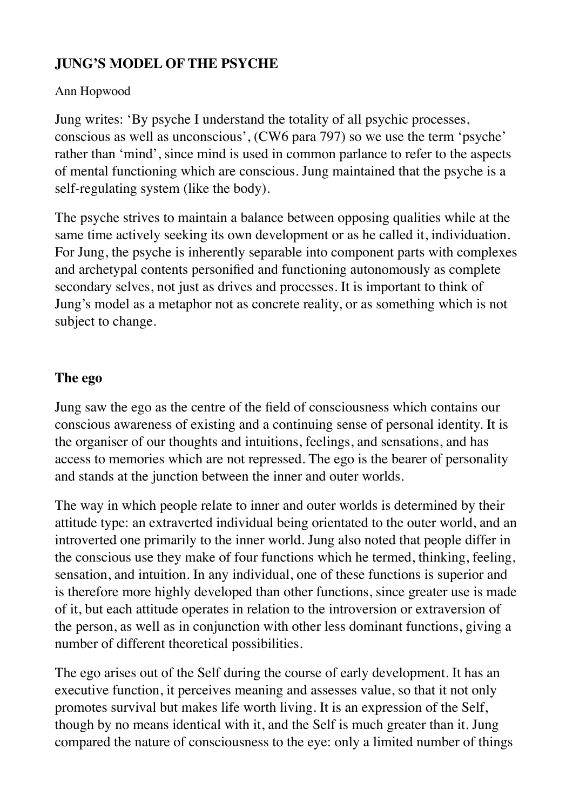# **JUNG'S MODEL OF THE PSYCHE**

### Ann Hopwood

Jung writes: 'By psyche I understand the totality of all psychic processes, conscious as well as unconscious', (CW6 para 797) so we use the term 'psyche' rather than 'mind', since mind is used in common parlance to refer to the aspects of mental functioning which are conscious. Jung maintained that the psyche is a self-regulating system (like the body).

The psyche strives to maintain a balance between opposing qualities while at the same time actively seeking its own development or as he called it, individuation. For Jung, the psyche is inherently separable into component parts with complexes and archetypal contents personified and functioning autonomously as complete secondary selves, not just as drives and processes. It is important to think of Jung's model as a metaphor not as concrete reality, or as something which is not subject to change.

### **The ego**

Jung saw the ego as the centre of the field of consciousness which contains our conscious awareness of existing and a continuing sense of personal identity. It is the organiser of our thoughts and intuitions, feelings, and sensations, and has access to memories which are not repressed. The ego is the bearer of personality and stands at the junction between the inner and outer worlds.

The way in which people relate to inner and outer worlds is determined by their attitude type: an extraverted individual being orientated to the outer world, and an introverted one primarily to the inner world. Jung also noted that people differ in the conscious use they make of four functions which he termed, thinking, feeling, sensation, and intuition. In any individual, one of these functions is superior and is therefore more highly developed than other functions, since greater use is made of it, but each attitude operates in relation to the introversion or extraversion of the person, as well as in conjunction with other less dominant functions, giving a number of different theoretical possibilities.

The ego arises out of the Self during the course of early development. It has an executive function, it perceives meaning and assesses value, so that it not only promotes survival but makes life worth living. It is an expression of the Self, though by no means identical with it, and the Self is much greater than it. Jung compared the nature of consciousness to the eye: only a limited number of things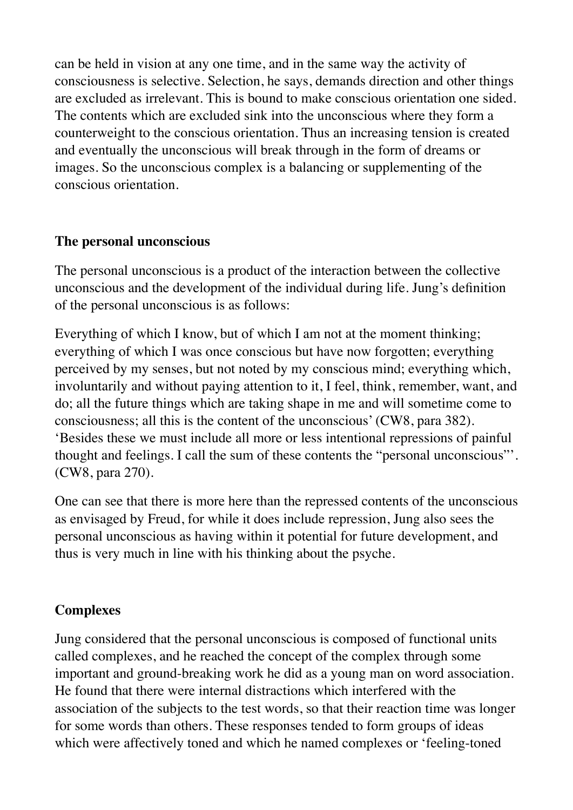can be held in vision at any one time, and in the same way the activity of consciousness is selective. Selection, he says, demands direction and other things are excluded as irrelevant. This is bound to make conscious orientation one sided. The contents which are excluded sink into the unconscious where they form a counterweight to the conscious orientation. Thus an increasing tension is created and eventually the unconscious will break through in the form of dreams or images. So the unconscious complex is a balancing or supplementing of the conscious orientation.

#### **The personal unconscious**

The personal unconscious is a product of the interaction between the collective unconscious and the development of the individual during life. Jung's definition of the personal unconscious is as follows:

Everything of which I know, but of which I am not at the moment thinking; everything of which I was once conscious but have now forgotten; everything perceived by my senses, but not noted by my conscious mind; everything which, involuntarily and without paying attention to it, I feel, think, remember, want, and do; all the future things which are taking shape in me and will sometime come to consciousness; all this is the content of the unconscious' (CW8, para 382). 'Besides these we must include all more or less intentional repressions of painful thought and feelings. I call the sum of these contents the "personal unconscious"'. (CW8, para 270).

One can see that there is more here than the repressed contents of the unconscious as envisaged by Freud, for while it does include repression, Jung also sees the personal unconscious as having within it potential for future development, and thus is very much in line with his thinking about the psyche.

#### **Complexes**

Jung considered that the personal unconscious is composed of functional units called complexes, and he reached the concept of the complex through some important and ground-breaking work he did as a young man on word association. He found that there were internal distractions which interfered with the association of the subjects to the test words, so that their reaction time was longer for some words than others. These responses tended to form groups of ideas which were affectively toned and which he named complexes or 'feeling-toned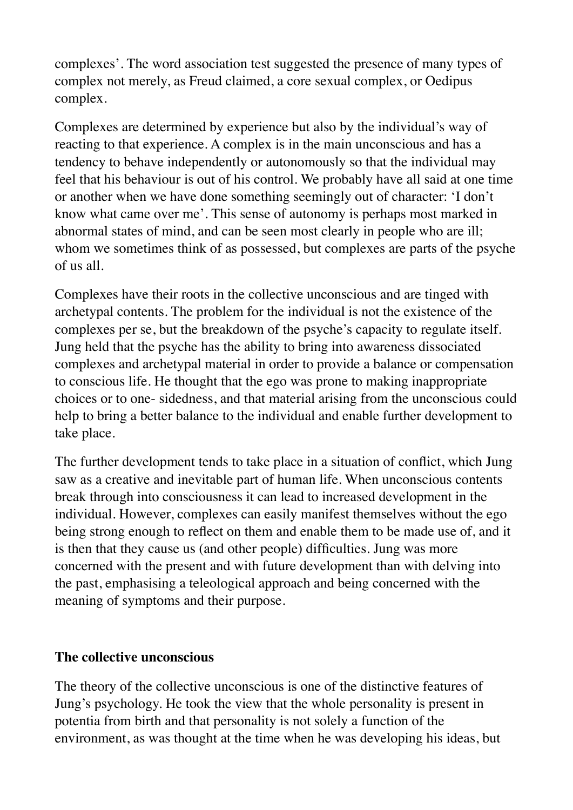complexes'. The word association test suggested the presence of many types of complex not merely, as Freud claimed, a core sexual complex, or Oedipus complex.

Complexes are determined by experience but also by the individual's way of reacting to that experience. A complex is in the main unconscious and has a tendency to behave independently or autonomously so that the individual may feel that his behaviour is out of his control. We probably have all said at one time or another when we have done something seemingly out of character: 'I don't know what came over me'. This sense of autonomy is perhaps most marked in abnormal states of mind, and can be seen most clearly in people who are ill; whom we sometimes think of as possessed, but complexes are parts of the psyche of us all.

Complexes have their roots in the collective unconscious and are tinged with archetypal contents. The problem for the individual is not the existence of the complexes per se, but the breakdown of the psyche's capacity to regulate itself. Jung held that the psyche has the ability to bring into awareness dissociated complexes and archetypal material in order to provide a balance or compensation to conscious life. He thought that the ego was prone to making inappropriate choices or to one- sidedness, and that material arising from the unconscious could help to bring a better balance to the individual and enable further development to take place.

The further development tends to take place in a situation of conflict, which Jung saw as a creative and inevitable part of human life. When unconscious contents break through into consciousness it can lead to increased development in the individual. However, complexes can easily manifest themselves without the ego being strong enough to reflect on them and enable them to be made use of, and it is then that they cause us (and other people) difficulties. Jung was more concerned with the present and with future development than with delving into the past, emphasising a teleological approach and being concerned with the meaning of symptoms and their purpose.

#### **The collective unconscious**

The theory of the collective unconscious is one of the distinctive features of Jung's psychology. He took the view that the whole personality is present in potentia from birth and that personality is not solely a function of the environment, as was thought at the time when he was developing his ideas, but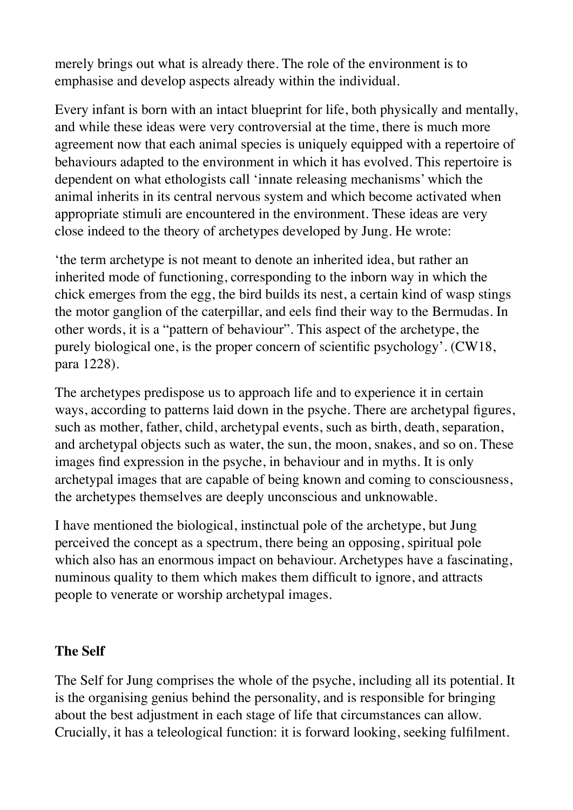merely brings out what is already there. The role of the environment is to emphasise and develop aspects already within the individual.

Every infant is born with an intact blueprint for life, both physically and mentally, and while these ideas were very controversial at the time, there is much more agreement now that each animal species is uniquely equipped with a repertoire of behaviours adapted to the environment in which it has evolved. This repertoire is dependent on what ethologists call 'innate releasing mechanisms' which the animal inherits in its central nervous system and which become activated when appropriate stimuli are encountered in the environment. These ideas are very close indeed to the theory of archetypes developed by Jung. He wrote:

'the term archetype is not meant to denote an inherited idea, but rather an inherited mode of functioning, corresponding to the inborn way in which the chick emerges from the egg, the bird builds its nest, a certain kind of wasp stings the motor ganglion of the caterpillar, and eels find their way to the Bermudas. In other words, it is a "pattern of behaviour". This aspect of the archetype, the purely biological one, is the proper concern of scientific psychology'. (CW18, para 1228).

The archetypes predispose us to approach life and to experience it in certain ways, according to patterns laid down in the psyche. There are archetypal figures, such as mother, father, child, archetypal events, such as birth, death, separation, and archetypal objects such as water, the sun, the moon, snakes, and so on. These images find expression in the psyche, in behaviour and in myths. It is only archetypal images that are capable of being known and coming to consciousness, the archetypes themselves are deeply unconscious and unknowable.

I have mentioned the biological, instinctual pole of the archetype, but Jung perceived the concept as a spectrum, there being an opposing, spiritual pole which also has an enormous impact on behaviour. Archetypes have a fascinating, numinous quality to them which makes them difficult to ignore, and attracts people to venerate or worship archetypal images.

# **The Self**

The Self for Jung comprises the whole of the psyche, including all its potential. It is the organising genius behind the personality, and is responsible for bringing about the best adjustment in each stage of life that circumstances can allow. Crucially, it has a teleological function: it is forward looking, seeking fulfilment.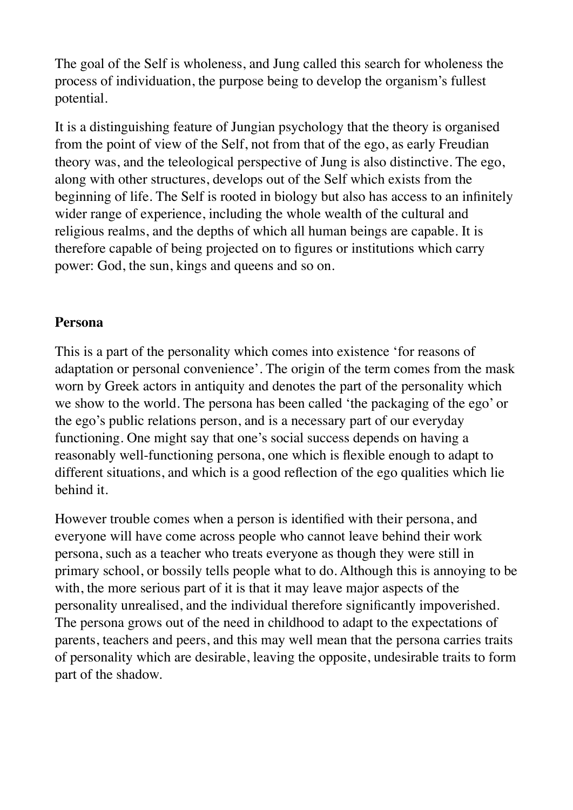The goal of the Self is wholeness, and Jung called this search for wholeness the process of individuation, the purpose being to develop the organism's fullest potential.

It is a distinguishing feature of Jungian psychology that the theory is organised from the point of view of the Self, not from that of the ego, as early Freudian theory was, and the teleological perspective of Jung is also distinctive. The ego, along with other structures, develops out of the Self which exists from the beginning of life. The Self is rooted in biology but also has access to an infinitely wider range of experience, including the whole wealth of the cultural and religious realms, and the depths of which all human beings are capable. It is therefore capable of being projected on to figures or institutions which carry power: God, the sun, kings and queens and so on.

### **Persona**

This is a part of the personality which comes into existence 'for reasons of adaptation or personal convenience'. The origin of the term comes from the mask worn by Greek actors in antiquity and denotes the part of the personality which we show to the world. The persona has been called 'the packaging of the ego' or the ego's public relations person, and is a necessary part of our everyday functioning. One might say that one's social success depends on having a reasonably well-functioning persona, one which is flexible enough to adapt to different situations, and which is a good reflection of the ego qualities which lie behind it.

However trouble comes when a person is identified with their persona, and everyone will have come across people who cannot leave behind their work persona, such as a teacher who treats everyone as though they were still in primary school, or bossily tells people what to do. Although this is annoying to be with, the more serious part of it is that it may leave major aspects of the personality unrealised, and the individual therefore significantly impoverished. The persona grows out of the need in childhood to adapt to the expectations of parents, teachers and peers, and this may well mean that the persona carries traits of personality which are desirable, leaving the opposite, undesirable traits to form part of the shadow.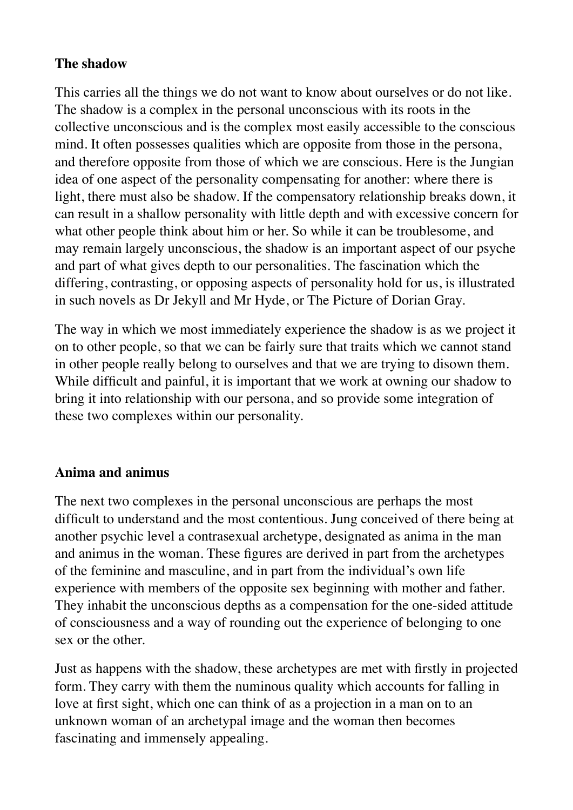### **The shadow**

This carries all the things we do not want to know about ourselves or do not like. The shadow is a complex in the personal unconscious with its roots in the collective unconscious and is the complex most easily accessible to the conscious mind. It often possesses qualities which are opposite from those in the persona, and therefore opposite from those of which we are conscious. Here is the Jungian idea of one aspect of the personality compensating for another: where there is light, there must also be shadow. If the compensatory relationship breaks down, it can result in a shallow personality with little depth and with excessive concern for what other people think about him or her. So while it can be troublesome, and may remain largely unconscious, the shadow is an important aspect of our psyche and part of what gives depth to our personalities. The fascination which the differing, contrasting, or opposing aspects of personality hold for us, is illustrated in such novels as Dr Jekyll and Mr Hyde, or The Picture of Dorian Gray.

The way in which we most immediately experience the shadow is as we project it on to other people, so that we can be fairly sure that traits which we cannot stand in other people really belong to ourselves and that we are trying to disown them. While difficult and painful, it is important that we work at owning our shadow to bring it into relationship with our persona, and so provide some integration of these two complexes within our personality.

# **Anima and animus**

The next two complexes in the personal unconscious are perhaps the most difficult to understand and the most contentious. Jung conceived of there being at another psychic level a contrasexual archetype, designated as anima in the man and animus in the woman. These figures are derived in part from the archetypes of the feminine and masculine, and in part from the individual's own life experience with members of the opposite sex beginning with mother and father. They inhabit the unconscious depths as a compensation for the one-sided attitude of consciousness and a way of rounding out the experience of belonging to one sex or the other.

Just as happens with the shadow, these archetypes are met with firstly in projected form. They carry with them the numinous quality which accounts for falling in love at first sight, which one can think of as a projection in a man on to an unknown woman of an archetypal image and the woman then becomes fascinating and immensely appealing.